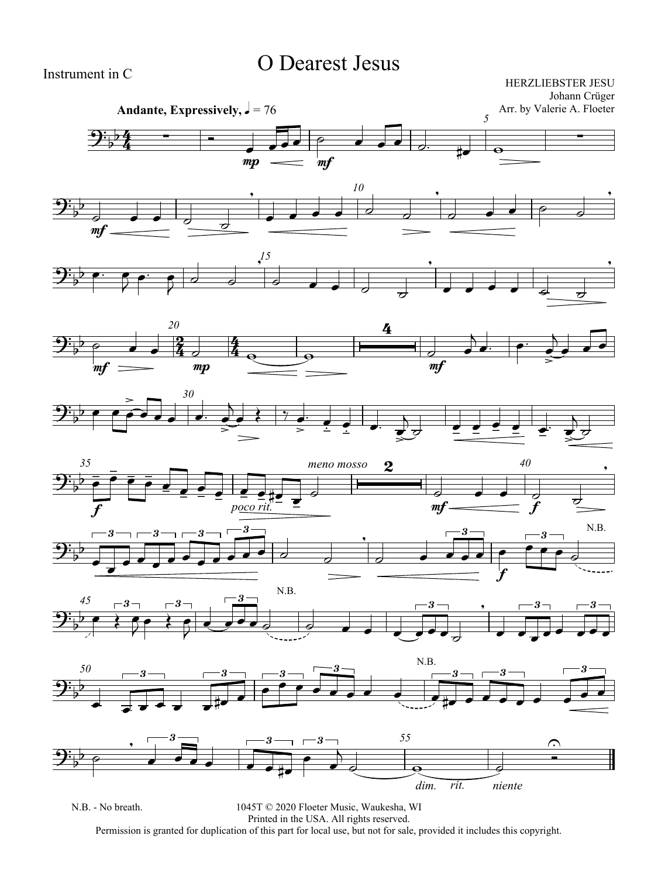## O Dearest Jesus

HERZLIEBSTER JESU Johann Crüger Arr. by Valerie A. Floeter

















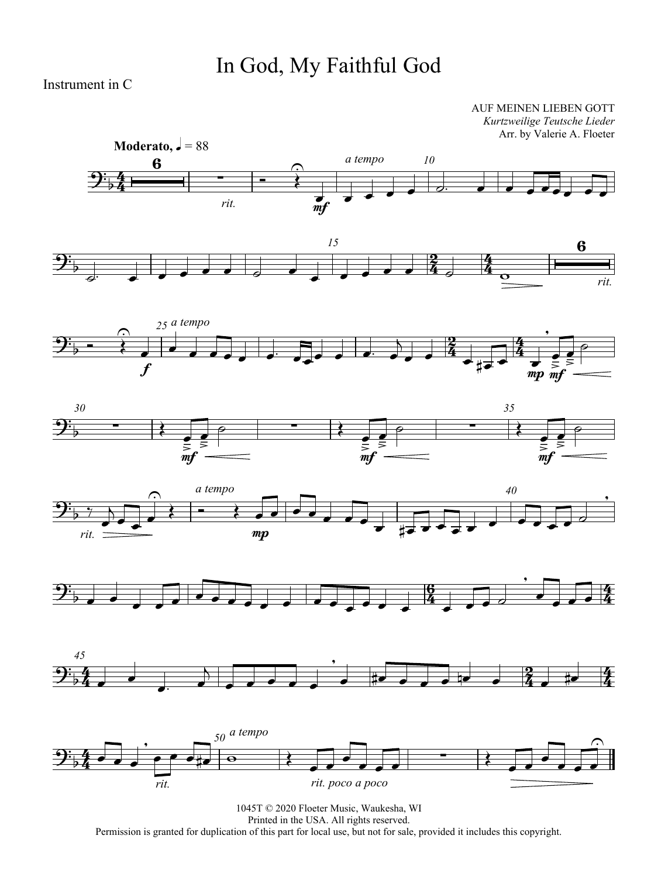## In God, My Faithful God

Instrument in C

AUF MEINEN LIEBEN GOTT *Kurtzweilige Teutsche Lieder* Arr. by Valerie A. Floeter















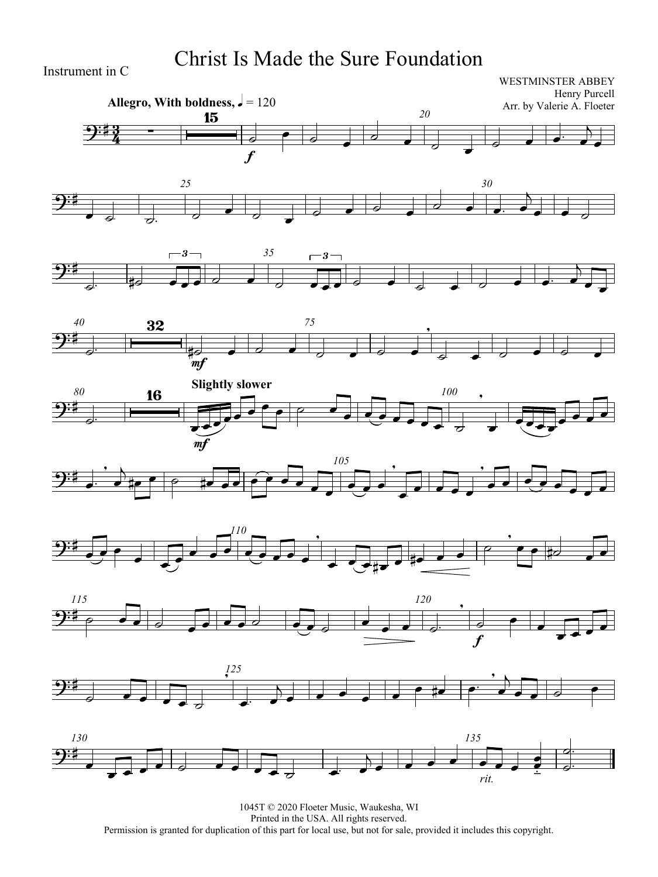## Christ Is Made the Sure Foundation

Instrument in C

#### WESTMINSTER ABBEY Henry Purcell Arr. by Valerie A. Floeter



















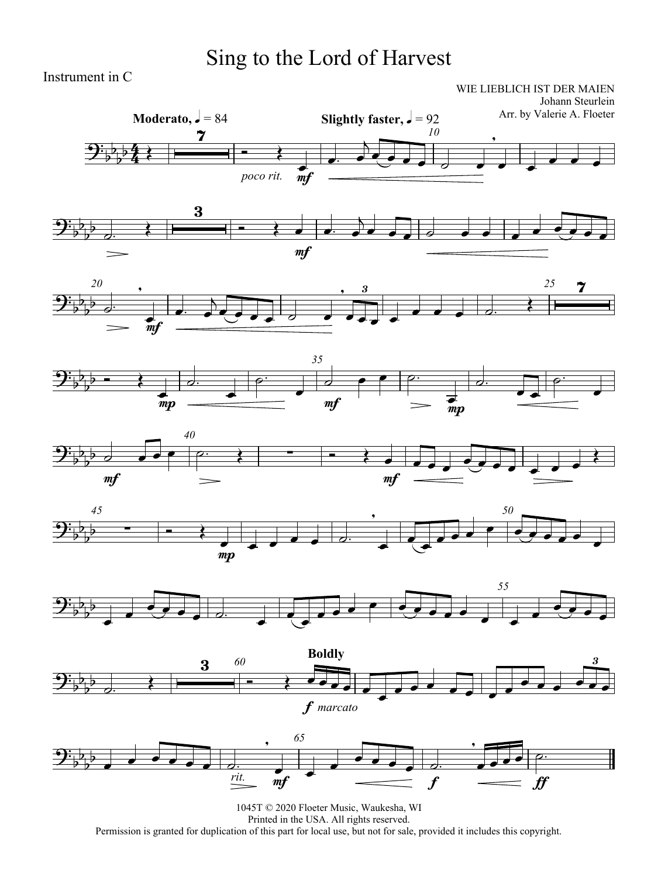# Sing to the Lord of Harvest

Instrument in C

WIE LIEBLICH IST DER MAIEN Johann Steurlein

















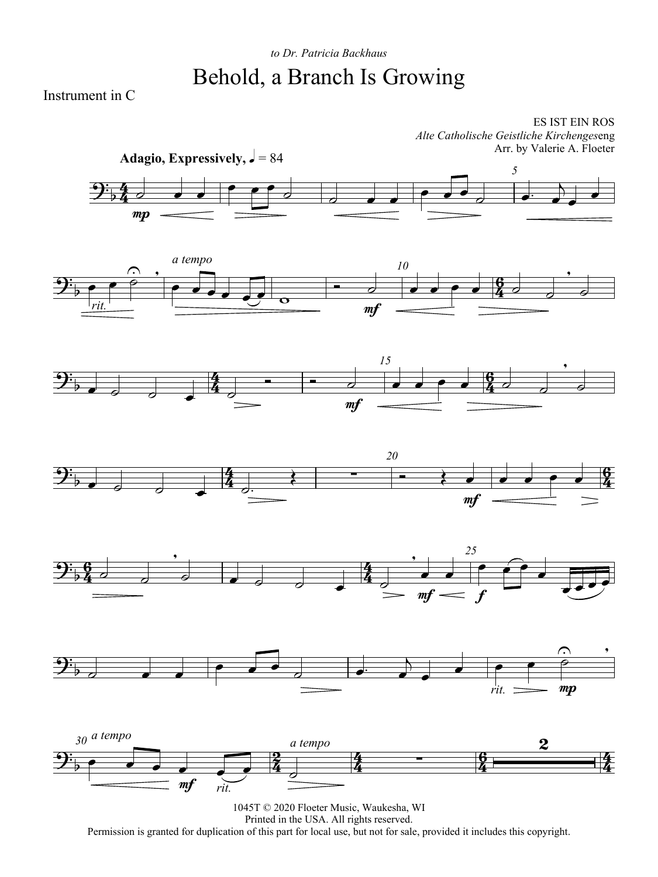## *to Dr. Patricia Backhaus* Behold, a Branch Is Growing

Instrument in C

ES IST EIN ROS *Alte Catholische Geistliche Kirchenges*eng Arr. by Valerie A. Floeter













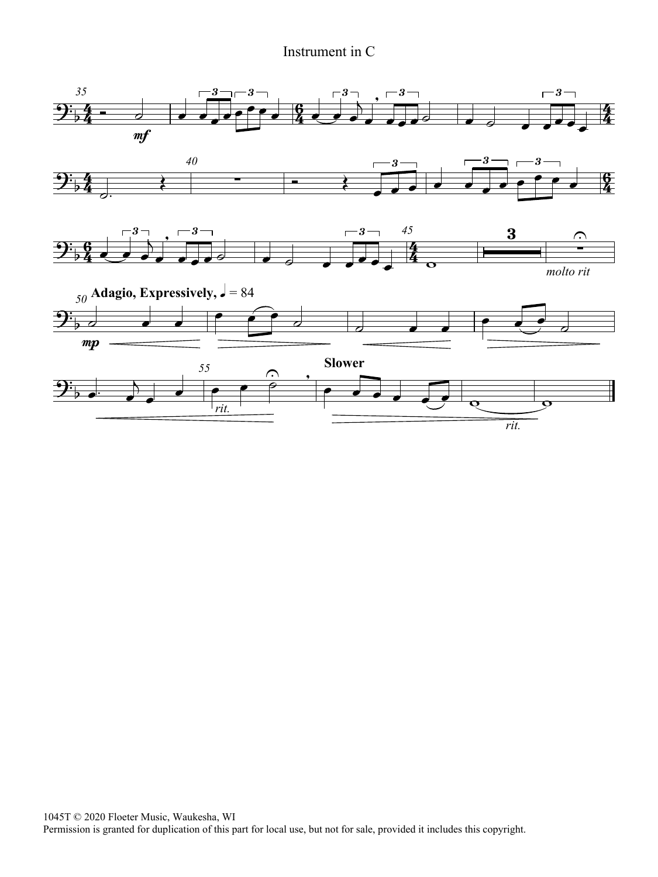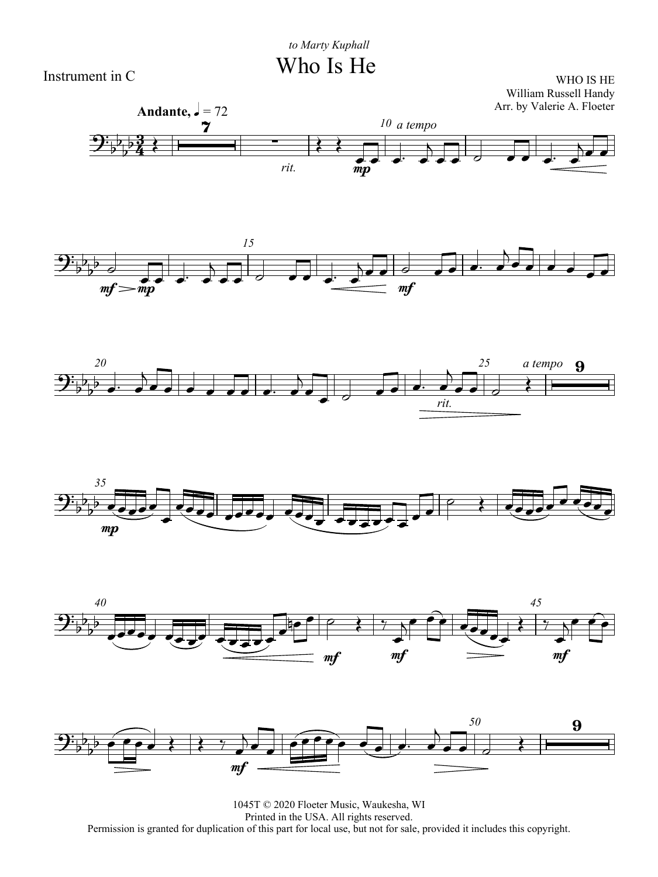Who Is He

Instrument in C















1045T © 2020 Floeter Music, Waukesha, WI Printed in the USA. All rights reserved. Permission is granted for duplication of this part for local use, but not for sale, provided it includes this copyright.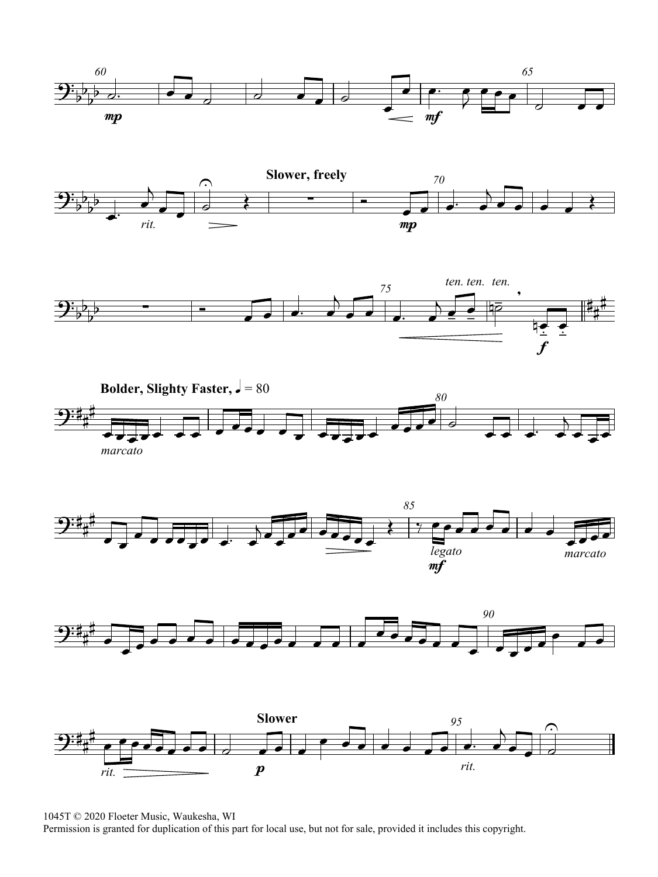













1045T © 2020 Floeter Music, Waukesha, WI

Permission is granted for duplication of this part for local use, but not for sale, provided it includes this copyright.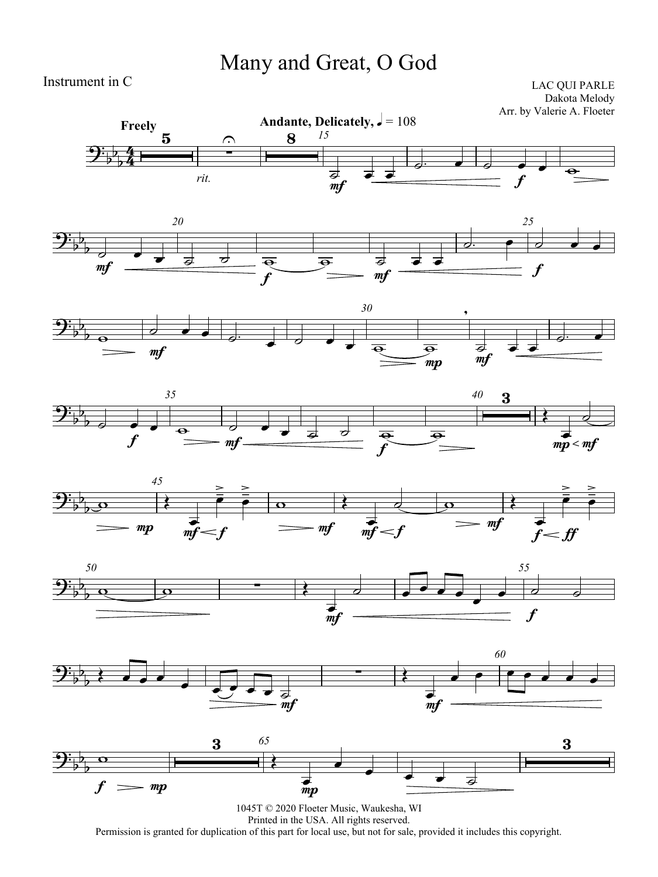## Many and Great, O God

Instrument in C

LAC QUI PARLE Dakota Melody Arr. by Valerie A. Floeter















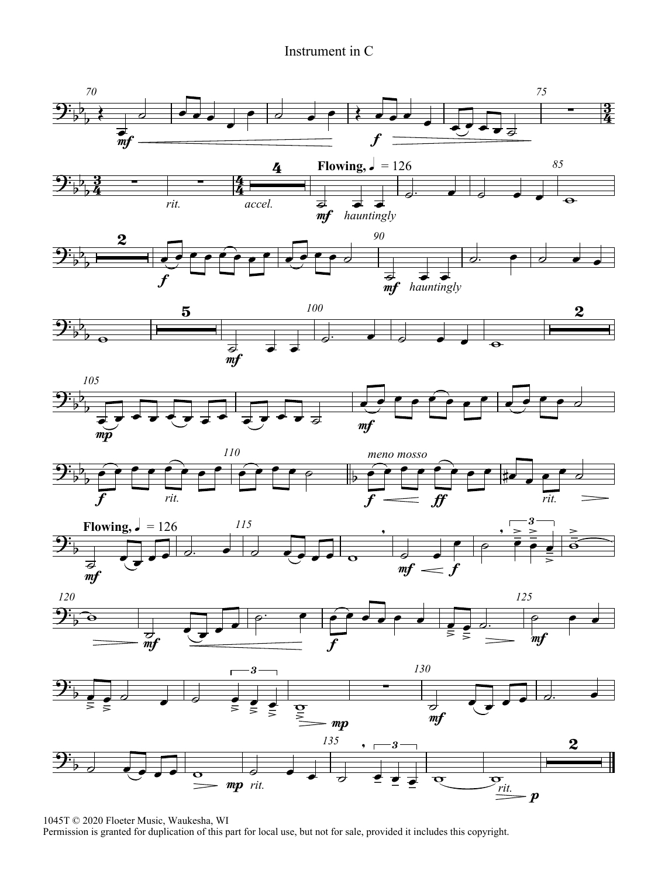

1045T © 2020 Floeter Music, Waukesha, WI

Permission is granted for duplication of this part for local use, but not for sale, provided it includes this copyright.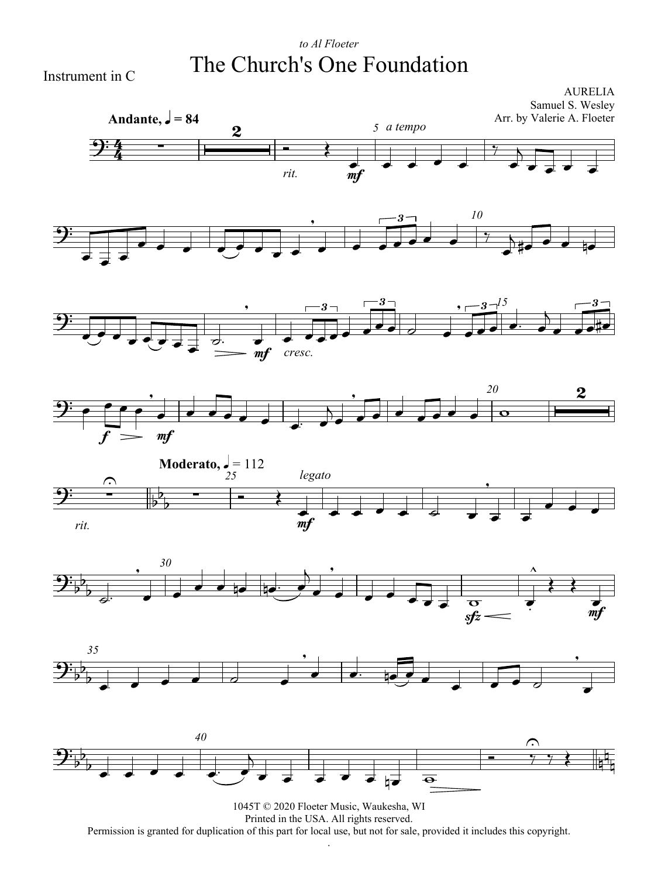### *to Al Floeter* The Church's One Foundation

Instrument in C



Printed in the USA. All rights reserved. Permission is granted for duplication of this part for local use, but not for sale, provided it includes this copyright. .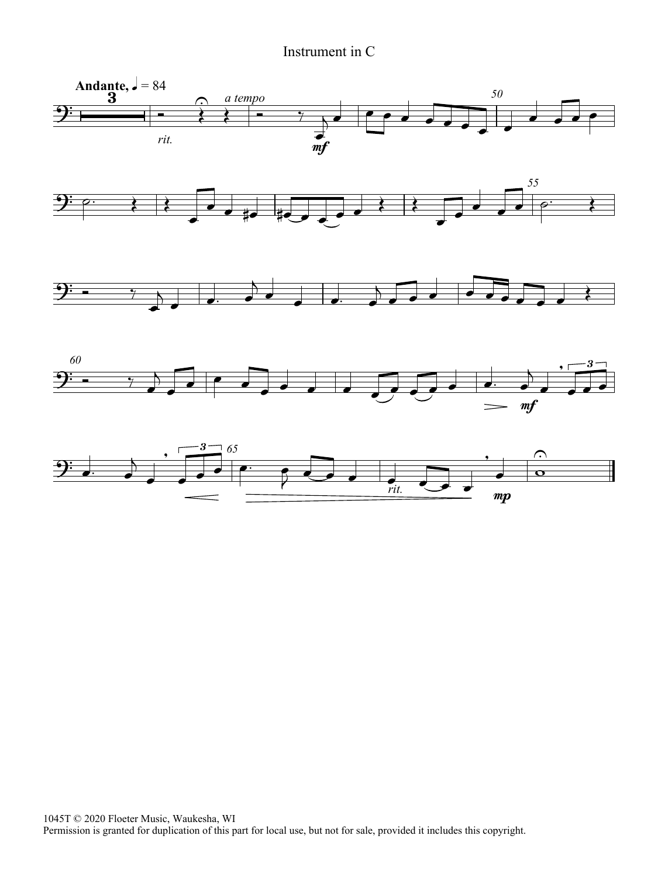